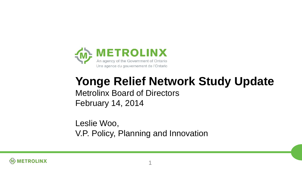

#### **Yonge Relief Network Study Update** Metrolinx Board of Directors February 14, 2014

Leslie Woo, V.P. Policy, Planning and Innovation

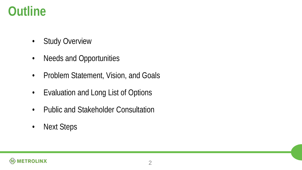#### **Outline**

- Study Overview
- Needs and Opportunities
- Problem Statement, Vision, and Goals
- Evaluation and Long List of Options
- Public and Stakeholder Consultation
- Next Steps

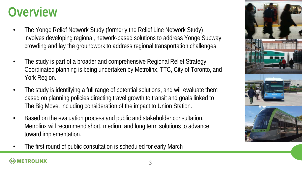### **Overview**

- The Yonge Relief Network Study (formerly the Relief Line Network Study) involves developing regional, network-based solutions to address Yonge Subway crowding and lay the groundwork to address regional transportation challenges.
- The study is part of a broader and comprehensive Regional Relief Strategy. Coordinated planning is being undertaken by Metrolinx, TTC, City of Toronto, and York Region.
- The study is identifying a full range of potential solutions, and will evaluate them based on planning policies directing travel growth to transit and goals linked to The Big Move, including consideration of the impact to Union Station.
- Based on the evaluation process and public and stakeholder consultation, Metrolinx will recommend short, medium and long term solutions to advance toward implementation.
- The first round of public consultation is scheduled for early March

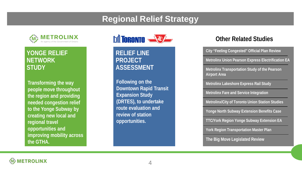#### **Regional Relief Strategy**



#### **YONGE RELIEF NETWORK STUDY**

**Transforming the way people move throughout the region and providing needed congestion relief to the Yonge Subway by creating new local and regional travel opportunities and improving mobility across the GTHA.** 



**RELIEF LINE PROJECT ASSESSMENT**

**Following on the Downtown Rapid Transit Expansion Study (DRTES), to undertake route evaluation and review of station opportunities.**

#### **Other Related Studies**

**City "Feeling Congested" Official Plan Review Metrolinx Union Pearson Express Electrification EA Metrolinx Transportation Study of the Pearson Airport Area Metrolinx Lakeshore Express Rail Study Metrolinx Fare and Service Integration Metrolinx/City of Toronto Union Station Studies Yonge North Subway Extension Benefits Case TTC/York Region Yonge Subway Extension EA York Region Transportation Master Plan The Big Move Legislated Review**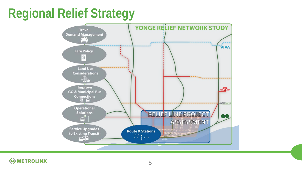## **Regional Relief Strategy**



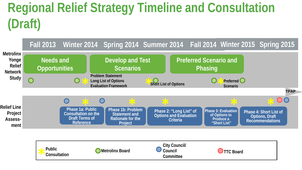# **Regional Relief Strategy Timeline and Consultation (Draft)**



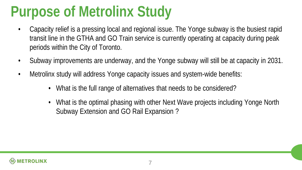# **Purpose of Metrolinx Study**

- Capacity relief is a pressing local and regional issue. The Yonge subway is the busiest rapid transit line in the GTHA and GO Train service is currently operating at capacity during peak periods within the City of Toronto.
- Subway improvements are underway, and the Yonge subway will still be at capacity in 2031.
- Metrolinx study will address Yonge capacity issues and system-wide benefits:
	- What is the full range of alternatives that needs to be considered?
	- What is the optimal phasing with other Next Wave projects including Yonge North Subway Extension and GO Rail Expansion ?

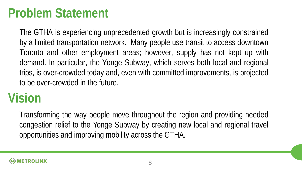#### **Problem Statement**

The GTHA is experiencing unprecedented growth but is increasingly constrained by a limited transportation network. Many people use transit to access downtown Toronto and other employment areas; however, supply has not kept up with demand. In particular, the Yonge Subway, which serves both local and regional trips, is over-crowded today and, even with committed improvements, is projected to be over-crowded in the future.

## **Vision**

Transforming the way people move throughout the region and providing needed congestion relief to the Yonge Subway by creating new local and regional travel opportunities and improving mobility across the GTHA.

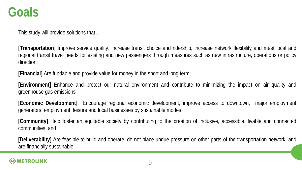#### **Goals**

This study will provide solutions that…

**[Transportation]** Improve service quality, increase transit choice and ridership, increase network flexibility and meet local and regional transit travel needs for existing and new passengers through measures such as new infrastructure, operations or policy direction;

**[Financial]** Are fundable and provide value for money in the short and long term;

**[Environment]** Enhance and protect our natural environment and contribute to minimizing the impact on air quality and greenhouse gas emissions

**[Economic Development]** Encourage regional economic development, improve access to downtown, major employment generators, employment, leisure and local businesses by sustainable modes;

**[Community]** Help foster an equitable society by contributing to the creation of inclusive, accessible, livable and connected communities; and

**[Deliverability]** Are feasible to build and operate, do not place undue pressure on other parts of the transportation network, and are financially sustainable.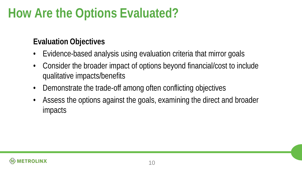## **How Are the Options Evaluated?**

#### **Evaluation Objectives**

- Evidence-based analysis using evaluation criteria that mirror goals
- Consider the broader impact of options beyond financial/cost to include qualitative impacts/benefits
- Demonstrate the trade-off among often conflicting objectives
- Assess the options against the goals, examining the direct and broader impacts

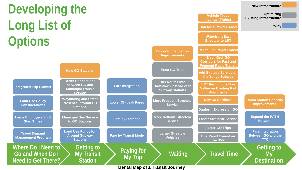# **Developing the Long List of Options**



**New Infrastructure**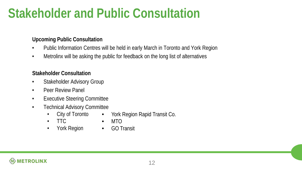### **Stakeholder and Public Consultation**

#### **Upcoming Public Consultation**

- Public Information Centres will be held in early March in Toronto and York Region
- Metrolinx will be asking the public for feedback on the long list of alternatives

#### **Stakeholder Consultation**

- Stakeholder Advisory Group
- Peer Review Panel
- Executive Steering Committee
- Technical Advisory Committee
	- City of Toronto • York Region Rapid Transit Co.
	- TTC
	- York Region •
- GO Transit

• MTO